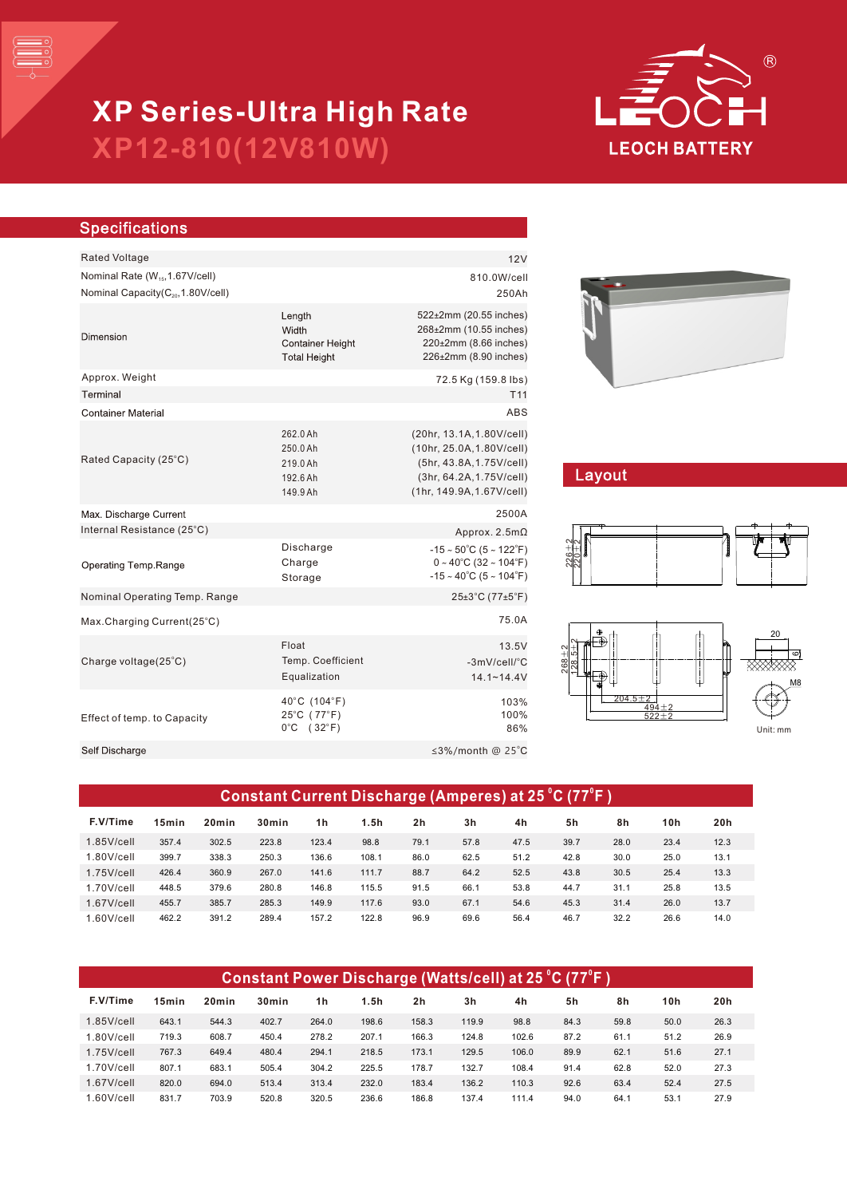

# **XP12-810(12V810W) XP Series-Ultra High Rate**

| <b>Specifications</b>                          |                                                                   |                                                                                                                                                   |  |  |  |
|------------------------------------------------|-------------------------------------------------------------------|---------------------------------------------------------------------------------------------------------------------------------------------------|--|--|--|
| <b>Rated Voltage</b>                           |                                                                   | 12V                                                                                                                                               |  |  |  |
| Nominal Rate (W <sub>15</sub> , 1.67V/cell)    | 810.0W/cell                                                       |                                                                                                                                                   |  |  |  |
| Nominal Capacity(C <sub>20</sub> , 1.80V/cell) |                                                                   | 250Ah                                                                                                                                             |  |  |  |
| Dimension                                      | Length<br>Width<br><b>Container Height</b><br><b>Total Height</b> | 522±2mm (20.55 inches)<br>268±2mm (10.55 inches)<br>220±2mm (8.66 inches)<br>226±2mm (8.90 inches)                                                |  |  |  |
| Approx. Weight                                 |                                                                   | 72.5 Kg (159.8 lbs)                                                                                                                               |  |  |  |
| Terminal                                       |                                                                   | T <sub>11</sub>                                                                                                                                   |  |  |  |
| <b>Container Material</b>                      |                                                                   | ABS                                                                                                                                               |  |  |  |
| Rated Capacity (25°C)                          | 262.0 Ah<br>250.0 Ah<br>219.0 Ah<br>192.6 Ah<br>149.9 Ah          | (20hr, 13.1A, 1.80V/cell)<br>(10hr, 25.0A, 1.80V/cell)<br>(5hr, 43.8A, 1.75V/cell)<br>(3hr, 64.2A, 1.75V/cell)<br>(1hr, 149.9A, 1.67V/cell)       |  |  |  |
| Max. Discharge Current                         |                                                                   | 2500A                                                                                                                                             |  |  |  |
| Internal Resistance (25°C)                     |                                                                   | Approx. $2.5m\Omega$                                                                                                                              |  |  |  |
| Operating Temp.Range                           | Discharge<br>Charge<br>Storage                                    | $-15 \sim 50^{\circ}$ C (5 ~ 122 $^{\circ}$ F)<br>$0 \sim 40^{\circ}$ C (32 ~ 104 $^{\circ}$ F)<br>$-15 \sim 40^{\circ}$ C (5 ~ 104 $^{\circ}$ F) |  |  |  |
| Nominal Operating Temp. Range                  |                                                                   | 25±3°C (77±5°F)                                                                                                                                   |  |  |  |
| Max.Charging Current(25°C)                     |                                                                   | 75.0A                                                                                                                                             |  |  |  |
| Charge voltage(25°C)                           | Float<br>Temp. Coefficient<br>Equalization                        | 13.5V<br>$-3mV/cell/^{\circ}C$<br>$14.1 - 14.4V$                                                                                                  |  |  |  |
| Effect of temp. to Capacity                    | 40°C (104°F)<br>25°C (77°F)<br>$0^{\circ}$ C (32 $^{\circ}$ F)    | 103%<br>100%<br>86%                                                                                                                               |  |  |  |
| Self Discharge                                 |                                                                   | ≤3%/month @ 25°C                                                                                                                                  |  |  |  |
|                                                |                                                                   |                                                                                                                                                   |  |  |  |



## Layout





| Constant Current Discharge (Amperes) at 25 °C (77°F ) |                   |                   |                   |                |       |                |      |      |      |      |      |      |
|-------------------------------------------------------|-------------------|-------------------|-------------------|----------------|-------|----------------|------|------|------|------|------|------|
| F.V/Time                                              | 15 <sub>min</sub> | 20 <sub>min</sub> | 30 <sub>min</sub> | 1 <sub>h</sub> | 1.5h  | 2 <sub>h</sub> | 3h   | 4h   | 5h   | 8h   | 10h  | 20h  |
| $1.85$ V/cell                                         | 357.4             | 302.5             | 223.8             | 123.4          | 98.8  | 79.1           | 57.8 | 47.5 | 39.7 | 28.0 | 23.4 | 12.3 |
| $1.80$ V/cell                                         | 399.7             | 338.3             | 250.3             | 136.6          | 108.1 | 86.0           | 62.5 | 51.2 | 42.8 | 30.0 | 25.0 | 13.1 |
| $1.75$ V/cell                                         | 426.4             | 360.9             | 267.0             | 141.6          | 111.7 | 88.7           | 64.2 | 52.5 | 43.8 | 30.5 | 25.4 | 13.3 |
| $1.70$ V/cell                                         | 448.5             | 379.6             | 280.8             | 146.8          | 115.5 | 91.5           | 66.1 | 53.8 | 44.7 | 31.1 | 25.8 | 13.5 |
| $1.67$ V/cell                                         | 455.7             | 385.7             | 285.3             | 149.9          | 117.6 | 93.0           | 67.1 | 54.6 | 45.3 | 31.4 | 26.0 | 13.7 |
| $1.60$ V/cell                                         | 462.2             | 391.2             | 289.4             | 157.2          | 122.8 | 96.9           | 69.6 | 56.4 | 46.7 | 32.2 | 26.6 | 14.0 |

| Constant Power Discharge (Watts/cell) at 25 °C (77°F ) |                   |                   |                   |                |       |                |       |       |      |      |      |      |
|--------------------------------------------------------|-------------------|-------------------|-------------------|----------------|-------|----------------|-------|-------|------|------|------|------|
| F.V/Time                                               | 15 <sub>min</sub> | 20 <sub>min</sub> | 30 <sub>min</sub> | 1 <sub>h</sub> | 1.5h  | 2 <sub>h</sub> | 3h    | 4h    | 5h   | 8h   | 10h  | 20h  |
| $1.85$ V/cell                                          | 643.1             | 544.3             | 402.7             | 264.0          | 198.6 | 158.3          | 119.9 | 98.8  | 84.3 | 59.8 | 50.0 | 26.3 |
| $1.80$ V/cell                                          | 719.3             | 608.7             | 450.4             | 278.2          | 207.1 | 166.3          | 124.8 | 102.6 | 87.2 | 61.1 | 51.2 | 26.9 |
| $1.75$ V/cell                                          | 767.3             | 649.4             | 480.4             | 294.1          | 218.5 | 173.1          | 129.5 | 106.0 | 89.9 | 62.1 | 51.6 | 27.1 |
| $1.70$ V/cell                                          | 807.1             | 683.1             | 505.4             | 304.2          | 225.5 | 178.7          | 132.7 | 108.4 | 91.4 | 62.8 | 52.0 | 27.3 |
| $1.67$ V/cell                                          | 820.0             | 694.0             | 513.4             | 313.4          | 232.0 | 183.4          | 136.2 | 110.3 | 92.6 | 63.4 | 52.4 | 27.5 |
| $1.60$ V/cell                                          | 831.7             | 703.9             | 520.8             | 320.5          | 236.6 | 186.8          | 137.4 | 111.4 | 94.0 | 64.1 | 53.1 | 27.9 |